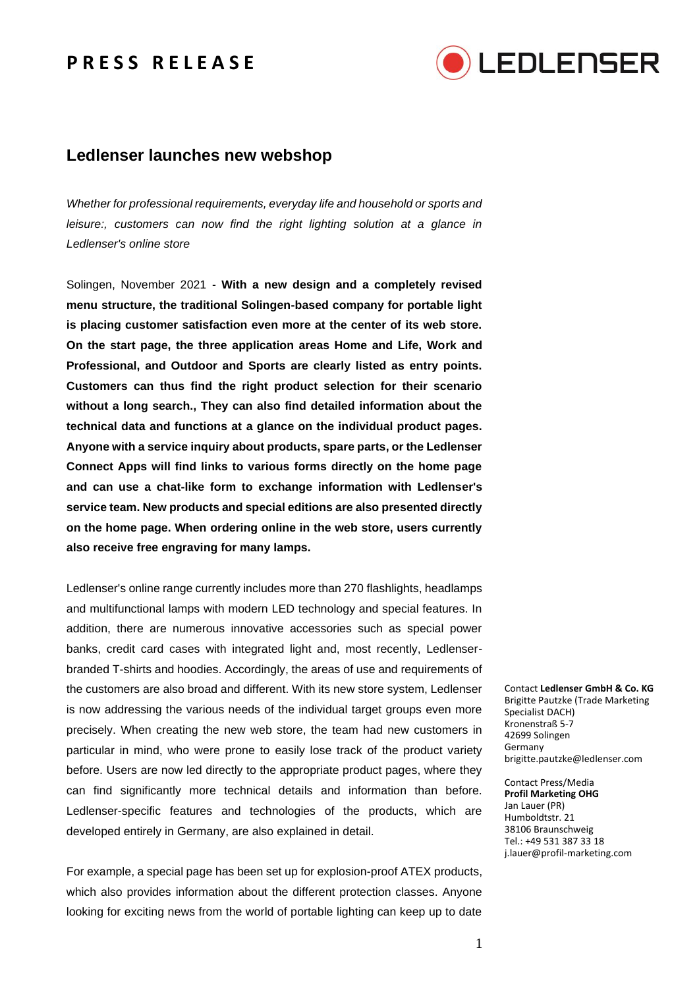## **P R E S S R E L E A S E**



## **Ledlenser launches new webshop**

*Whether for professional requirements, everyday life and household or sports and leisure:, customers can now find the right lighting solution at a glance in Ledlenser's online store*

Solingen, November 2021 - **With a new design and a completely revised menu structure, the traditional Solingen-based company for portable light is placing customer satisfaction even more at the center of its web store. On the start page, the three application areas Home and Life, Work and Professional, and Outdoor and Sports are clearly listed as entry points. Customers can thus find the right product selection for their scenario without a long search., They can also find detailed information about the technical data and functions at a glance on the individual product pages. Anyone with a service inquiry about products, spare parts, or the Ledlenser Connect Apps will find links to various forms directly on the home page and can use a chat-like form to exchange information with Ledlenser's service team. New products and special editions are also presented directly on the home page. When ordering online in the web store, users currently also receive free engraving for many lamps.**

Ledlenser's online range currently includes more than 270 flashlights, headlamps and multifunctional lamps with modern LED technology and special features. In addition, there are numerous innovative accessories such as special power banks, credit card cases with integrated light and, most recently, Ledlenserbranded T-shirts and hoodies. Accordingly, the areas of use and requirements of the customers are also broad and different. With its new store system, Ledlenser is now addressing the various needs of the individual target groups even more precisely. When creating the new web store, the team had new customers in particular in mind, who were prone to easily lose track of the product variety before. Users are now led directly to the appropriate product pages, where they can find significantly more technical details and information than before. Ledlenser-specific features and technologies of the products, which are developed entirely in Germany, are also explained in detail.

For example, a special page has been set up for explosion-proof ATEX products, which also provides information about the different protection classes. Anyone looking for exciting news from the world of portable lighting can keep up to date

Contact **Ledlenser GmbH & Co. KG** Brigitte Pautzke (Trade Marketing Specialist DACH) Kronenstraß 5-7 42699 Solingen Germany brigitte.pautzke@ledlenser.com

Contact Press/Media **Profil Marketing OHG** Jan Lauer (PR) Humboldtstr. 21 38106 Braunschweig Tel.: +49 531 387 33 18 j.lauer@profil-marketing.com